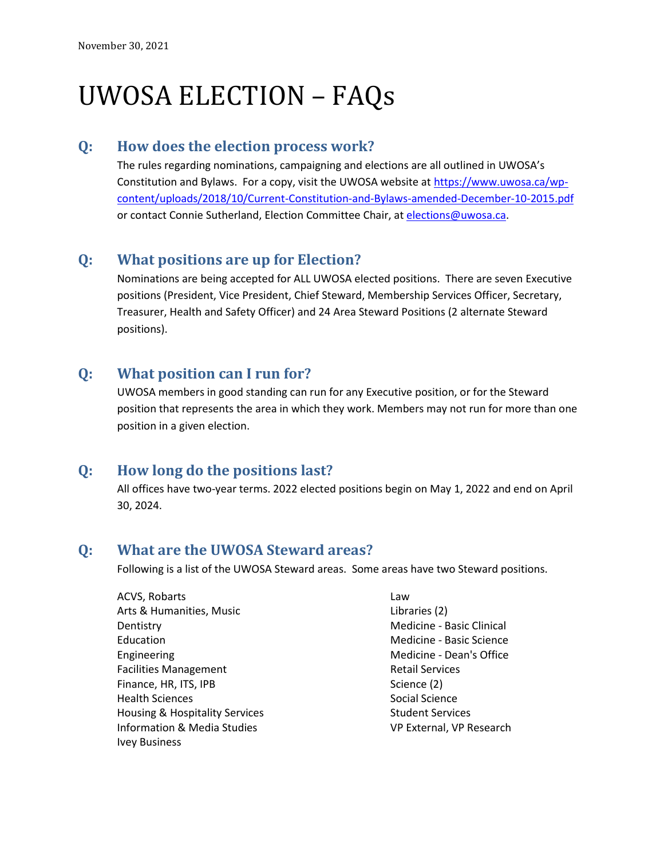# UWOSA ELECTION – FAQs

#### **Q: How does the election process work?**

The rules regarding nominations, campaigning and elections are all outlined in UWOSA's Constitution and Bylaws. For a copy, visit the UWOSA website at [https://www.uwosa.ca/wp](https://www.uwosa.ca/wp-content/uploads/2018/10/Current-Constitution-and-Bylaws-amended-December-10-2015.pdf)[content/uploads/2018/10/Current-Constitution-and-Bylaws-amended-December-10-2015.pdf](https://www.uwosa.ca/wp-content/uploads/2018/10/Current-Constitution-and-Bylaws-amended-December-10-2015.pdf)  or contact Connie Sutherland, Election Committee Chair, at [elections@uwosa.ca.](mailto:elections@uwosa.ca)

## **Q: What positions are up for Election?**

Nominations are being accepted for ALL UWOSA elected positions. There are seven Executive positions (President, Vice President, Chief Steward, Membership Services Officer, Secretary, Treasurer, Health and Safety Officer) and 24 Area Steward Positions (2 alternate Steward positions).

### **Q: What position can I run for?**

UWOSA members in good standing can run for any Executive position, or for the Steward position that represents the area in which they work. Members may not run for more than one position in a given election.

## **Q: How long do the positions last?**

All offices have two-year terms. 2022 elected positions begin on May 1, 2022 and end on April 30, 2024.

## **Q: What are the UWOSA Steward areas?**

Following is a list of the UWOSA Steward areas. Some areas have two Steward positions.

| <b>ACVS, Robarts</b>                      |
|-------------------------------------------|
| Arts & Humanities, Music                  |
| Dentistry                                 |
| Education                                 |
| Engineering                               |
| <b>Facilities Management</b>              |
| Finance, HR, ITS, IPB                     |
| <b>Health Sciences</b>                    |
| <b>Housing &amp; Hospitality Services</b> |
| Information & Media Studies               |
| Ivey Business                             |

Law Libraries (2) Medicine - Basic Clinical Medicine - Basic Science Medicine - Dean's Office Retail Services Science (2) Social Science Student Services VP External, VP Research